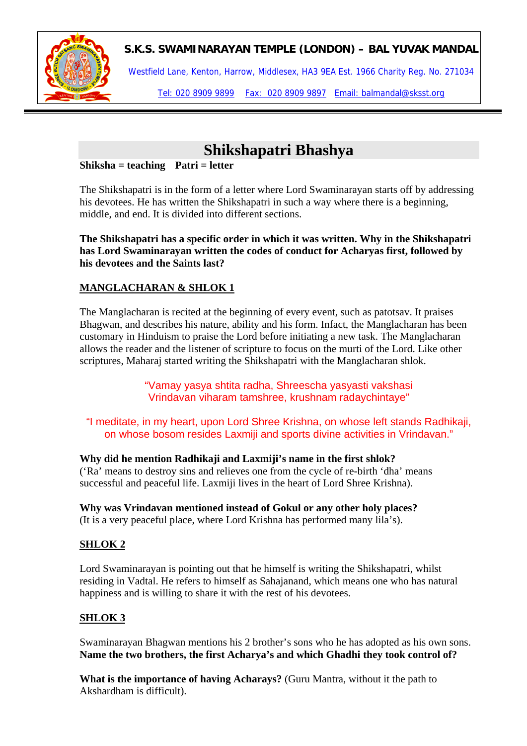

Westfield Lane, Kenton, Harrow, Middlesex, HA3 9EA Est. 1966 Charity Reg. No. 271034

Tel: 020 8909 9899 Fax: 020 8909 9897 Email: balmandal@sksst.org

# **Shikshapatri Bhashya**

#### **Shiksha = teaching Patri = letter**

The Shikshapatri is in the form of a letter where Lord Swaminarayan starts off by addressing his devotees. He has written the Shikshapatri in such a way where there is a beginning, middle, and end. It is divided into different sections.

**The Shikshapatri has a specific order in which it was written. Why in the Shikshapatri has Lord Swaminarayan written the codes of conduct for Acharyas first, followed by his devotees and the Saints last?** 

## **MANGLACHARAN & SHLOK 1**

The Manglacharan is recited at the beginning of every event, such as patotsav. It praises Bhagwan, and describes his nature, ability and his form. Infact, the Manglacharan has been customary in Hinduism to praise the Lord before initiating a new task. The Manglacharan allows the reader and the listener of scripture to focus on the murti of the Lord. Like other scriptures, Maharaj started writing the Shikshapatri with the Manglacharan shlok.

> "Vamay yasya shtita radha, Shreescha yasyasti vakshasi Vrindavan viharam tamshree, krushnam radaychintaye"

"I meditate, in my heart, upon Lord Shree Krishna, on whose left stands Radhikaji, on whose bosom resides Laxmiji and sports divine activities in Vrindavan."

#### **Why did he mention Radhikaji and Laxmiji's name in the first shlok?**

('Ra' means to destroy sins and relieves one from the cycle of re-birth 'dha' means successful and peaceful life. Laxmiji lives in the heart of Lord Shree Krishna).

**Why was Vrindavan mentioned instead of Gokul or any other holy places?**  (It is a very peaceful place, where Lord Krishna has performed many lila's).

### **SHLOK 2**

Lord Swaminarayan is pointing out that he himself is writing the Shikshapatri, whilst residing in Vadtal. He refers to himself as Sahajanand, which means one who has natural happiness and is willing to share it with the rest of his devotees.

### **SHLOK 3**

Swaminarayan Bhagwan mentions his 2 brother's sons who he has adopted as his own sons. **Name the two brothers, the first Acharya's and which Ghadhi they took control of?** 

**What is the importance of having Acharays?** (Guru Mantra, without it the path to Akshardham is difficult).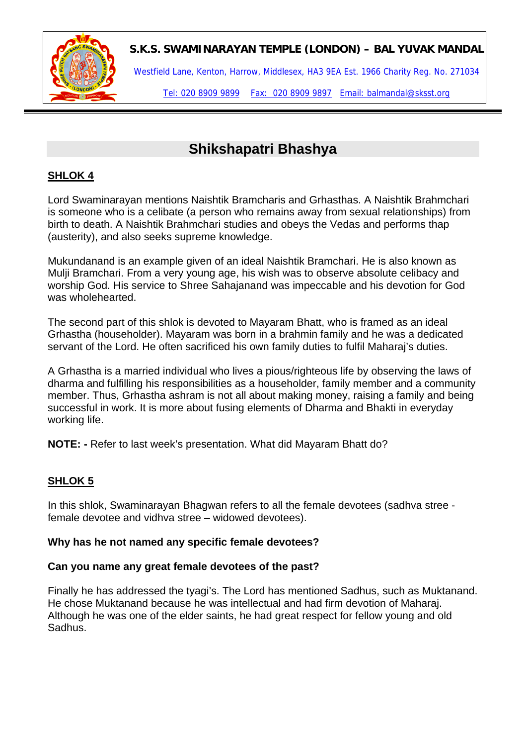

Westfield Lane, Kenton, Harrow, Middlesex, HA3 9EA Est. 1966 Charity Reg. No. 271034

Tel: 020 8909 9899 Fax: 020 8909 9897 Email: balmandal@sksst.org

## **Shikshapatri Bhashya**

## **SHLOK 4**

Lord Swaminarayan mentions Naishtik Bramcharis and Grhasthas. A Naishtik Brahmchari is someone who is a celibate (a person who remains away from sexual relationships) from birth to death. A Naishtik Brahmchari studies and obeys the Vedas and performs thap (austerity), and also seeks supreme knowledge.

Mukundanand is an example given of an ideal Naishtik Bramchari. He is also known as Mulji Bramchari. From a very young age, his wish was to observe absolute celibacy and worship God. His service to Shree Sahajanand was impeccable and his devotion for God was wholehearted.

The second part of this shlok is devoted to Mayaram Bhatt, who is framed as an ideal Grhastha (householder). Mayaram was born in a brahmin family and he was a dedicated servant of the Lord. He often sacrificed his own family duties to fulfil Maharaj's duties.

A Grhastha is a married individual who lives a pious/righteous life by observing the laws of dharma and fulfilling his responsibilities as a householder, family member and a community member. Thus, Grhastha ashram is not all about making money, raising a family and being successful in work. It is more about fusing elements of Dharma and Bhakti in everyday working life.

**NOTE: -** Refer to last week's presentation. What did Mayaram Bhatt do?

### **SHLOK 5**

In this shlok, Swaminarayan Bhagwan refers to all the female devotees (sadhva stree female devotee and vidhva stree – widowed devotees).

#### **Why has he not named any specific female devotees?**

#### **Can you name any great female devotees of the past?**

Finally he has addressed the tyagi's. The Lord has mentioned Sadhus, such as Muktanand. He chose Muktanand because he was intellectual and had firm devotion of Maharaj. Although he was one of the elder saints, he had great respect for fellow young and old Sadhus.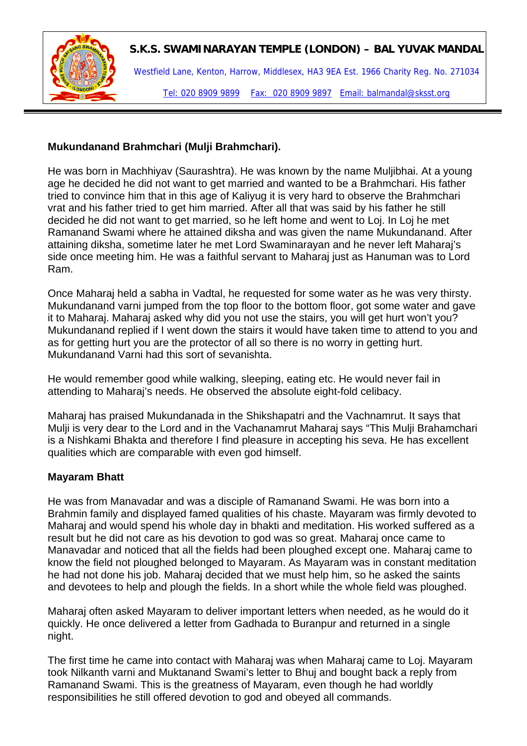

Westfield Lane, Kenton, Harrow, Middlesex, HA3 9EA Est. 1966 Charity Reg. No. 271034 Tel: 020 8909 9899 Fax: 020 8909 9897 Email: balmandal@sksst.org

#### **Mukundanand Brahmchari (Mulji Brahmchari).**

He was born in Machhiyav (Saurashtra). He was known by the name Muljibhai. At a young age he decided he did not want to get married and wanted to be a Brahmchari. His father tried to convince him that in this age of Kaliyug it is very hard to observe the Brahmchari vrat and his father tried to get him married. After all that was said by his father he still decided he did not want to get married, so he left home and went to Loj. In Loj he met Ramanand Swami where he attained diksha and was given the name Mukundanand. After attaining diksha, sometime later he met Lord Swaminarayan and he never left Maharaj's side once meeting him. He was a faithful servant to Maharaj just as Hanuman was to Lord Ram.

Once Maharaj held a sabha in Vadtal, he requested for some water as he was very thirsty. Mukundanand varni jumped from the top floor to the bottom floor, got some water and gave it to Maharaj. Maharaj asked why did you not use the stairs, you will get hurt won't you? Mukundanand replied if I went down the stairs it would have taken time to attend to you and as for getting hurt you are the protector of all so there is no worry in getting hurt. Mukundanand Varni had this sort of sevanishta.

He would remember good while walking, sleeping, eating etc. He would never fail in attending to Maharaj's needs. He observed the absolute eight-fold celibacy.

Maharaj has praised Mukundanada in the Shikshapatri and the Vachnamrut. It says that Mulji is very dear to the Lord and in the Vachanamrut Maharaj says "This Mulji Brahamchari is a Nishkami Bhakta and therefore I find pleasure in accepting his seva. He has excellent qualities which are comparable with even god himself.

#### **Mayaram Bhatt**

He was from Manavadar and was a disciple of Ramanand Swami. He was born into a Brahmin family and displayed famed qualities of his chaste. Mayaram was firmly devoted to Maharaj and would spend his whole day in bhakti and meditation. His worked suffered as a result but he did not care as his devotion to god was so great. Maharaj once came to Manavadar and noticed that all the fields had been ploughed except one. Maharaj came to know the field not ploughed belonged to Mayaram. As Mayaram was in constant meditation he had not done his job. Maharaj decided that we must help him, so he asked the saints and devotees to help and plough the fields. In a short while the whole field was ploughed.

Maharaj often asked Mayaram to deliver important letters when needed, as he would do it quickly. He once delivered a letter from Gadhada to Buranpur and returned in a single night.

The first time he came into contact with Maharaj was when Maharaj came to Loj. Mayaram took Nilkanth varni and Muktanand Swami's letter to Bhuj and bought back a reply from Ramanand Swami. This is the greatness of Mayaram, even though he had worldly responsibilities he still offered devotion to god and obeyed all commands.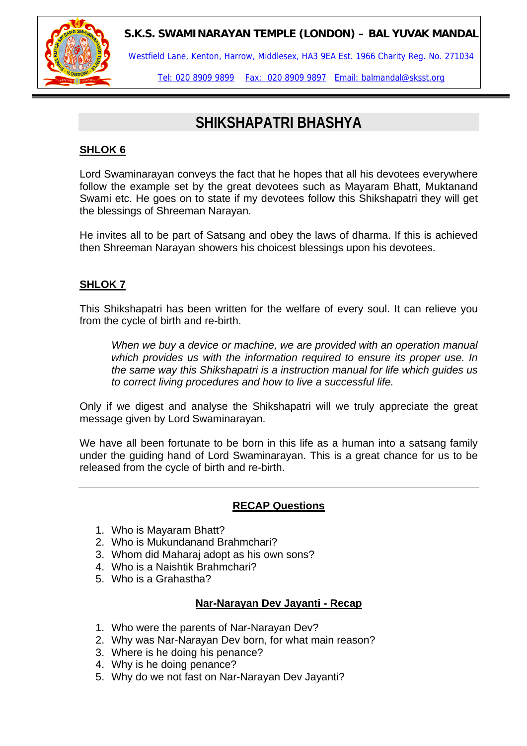

Westfield Lane, Kenton, Harrow, Middlesex, HA3 9EA Est. 1966 Charity Reg. No. 271034

Tel: 020 8909 9899 Fax: 020 8909 9897 Email: balmandal@sksst.org

## **SHIKSHAPATRI BHASHYA**

### **SHLOK 6**

Lord Swaminarayan conveys the fact that he hopes that all his devotees everywhere follow the example set by the great devotees such as Mayaram Bhatt, Muktanand Swami etc. He goes on to state if my devotees follow this Shikshapatri they will get the blessings of Shreeman Narayan.

He invites all to be part of Satsang and obey the laws of dharma. If this is achieved then Shreeman Narayan showers his choicest blessings upon his devotees.

## **SHLOK 7**

This Shikshapatri has been written for the welfare of every soul. It can relieve you from the cycle of birth and re-birth.

*When we buy a device or machine, we are provided with an operation manual which provides us with the information required to ensure its proper use. In the same way this Shikshapatri is a instruction manual for life which guides us to correct living procedures and how to live a successful life.* 

Only if we digest and analyse the Shikshapatri will we truly appreciate the great message given by Lord Swaminarayan.

We have all been fortunate to be born in this life as a human into a satsang family under the guiding hand of Lord Swaminarayan. This is a great chance for us to be released from the cycle of birth and re-birth.

### **RECAP Questions**

- 1. Who is Mayaram Bhatt?
- 2. Who is Mukundanand Brahmchari?
- 3. Whom did Maharaj adopt as his own sons?
- 4. Who is a Naishtik Brahmchari?
- 5. Who is a Grahastha?

### **Nar-Narayan Dev Jayanti - Recap**

- 1. Who were the parents of Nar-Narayan Dev?
- 2. Why was Nar-Narayan Dev born, for what main reason?
- 3. Where is he doing his penance?
- 4. Why is he doing penance?
- 5. Why do we not fast on Nar-Narayan Dev Jayanti?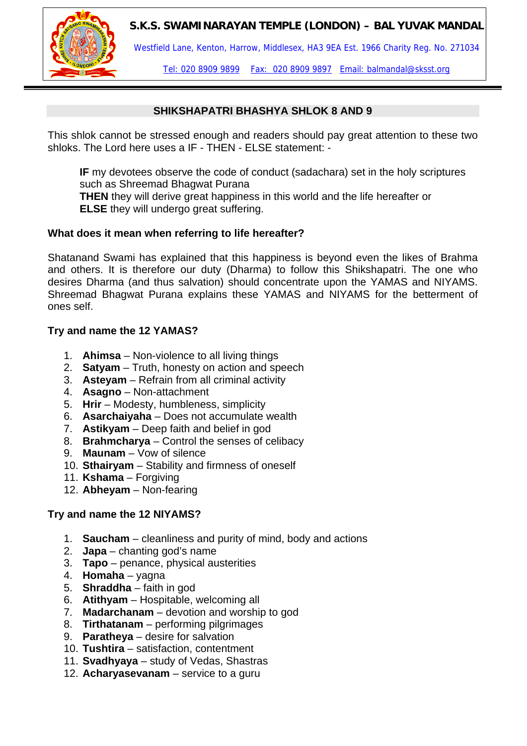

Westfield Lane, Kenton, Harrow, Middlesex, HA3 9EA Est. 1966 Charity Reg. No. 271034

Tel: 020 8909 9899 Fax: 020 8909 9897 Email: balmandal@sksst.org

#### **SHIKSHAPATRI BHASHYA SHLOK 8 AND 9**

This shlok cannot be stressed enough and readers should pay great attention to these two shloks. The Lord here uses a IF - THEN - ELSE statement: -

**IF** my devotees observe the code of conduct (sadachara) set in the holy scriptures such as Shreemad Bhagwat Purana

**THEN** they will derive great happiness in this world and the life hereafter or **ELSE** they will undergo great suffering.

#### **What does it mean when referring to life hereafter?**

Shatanand Swami has explained that this happiness is beyond even the likes of Brahma and others. It is therefore our duty (Dharma) to follow this Shikshapatri. The one who desires Dharma (and thus salvation) should concentrate upon the YAMAS and NIYAMS. Shreemad Bhagwat Purana explains these YAMAS and NIYAMS for the betterment of ones self.

#### **Try and name the 12 YAMAS?**

- 1. **Ahimsa** Non-violence to all living things
- 2. **Satyam** Truth, honesty on action and speech
- 3. **Asteyam** Refrain from all criminal activity
- 4. **Asagno** Non-attachment
- 5. **Hrir** Modesty, humbleness, simplicity
- 6. **Asarchaiyaha** Does not accumulate wealth
- 7. **Astikyam** Deep faith and belief in god
- 8. **Brahmcharya** Control the senses of celibacy
- 9. **Maunam** Vow of silence
- 10. **Sthairyam** Stability and firmness of oneself
- 11. **Kshama** Forgiving
- 12. **Abheyam** Non-fearing

#### **Try and name the 12 NIYAMS?**

- 1. **Saucham** cleanliness and purity of mind, body and actions
- 2. **Japa** chanting god's name
- 3. **Tapo** penance, physical austerities
- 4. **Homaha** yagna
- 5. **Shraddha** faith in god
- 6. **Atithyam** Hospitable, welcoming all
- 7. **Madarchanam** devotion and worship to god
- 8. **Tirthatanam** performing pilgrimages
- 9. **Paratheya** desire for salvation
- 10. **Tushtira** satisfaction, contentment
- 11. **Svadhyaya** study of Vedas, Shastras
- 12. **Acharyasevanam** service to a guru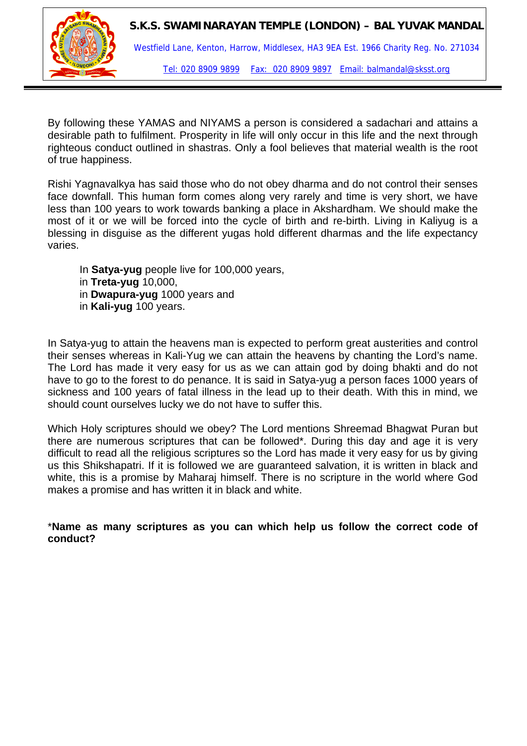

By following these YAMAS and NIYAMS a person is considered a sadachari and attains a desirable path to fulfilment. Prosperity in life will only occur in this life and the next through righteous conduct outlined in shastras. Only a fool believes that material wealth is the root of true happiness.

Rishi Yagnavalkya has said those who do not obey dharma and do not control their senses face downfall. This human form comes along very rarely and time is very short, we have less than 100 years to work towards banking a place in Akshardham. We should make the most of it or we will be forced into the cycle of birth and re-birth. Living in Kaliyug is a blessing in disguise as the different yugas hold different dharmas and the life expectancy varies.

In **Satya-yug** people live for 100,000 years, in **Treta-yug** 10,000, in **Dwapura-yug** 1000 years and in **Kali-yug** 100 years.

In Satya-yug to attain the heavens man is expected to perform great austerities and control their senses whereas in Kali-Yug we can attain the heavens by chanting the Lord's name. The Lord has made it very easy for us as we can attain god by doing bhakti and do not have to go to the forest to do penance. It is said in Satya-yug a person faces 1000 years of sickness and 100 years of fatal illness in the lead up to their death. With this in mind, we should count ourselves lucky we do not have to suffer this.

Which Holy scriptures should we obey? The Lord mentions Shreemad Bhagwat Puran but there are numerous scriptures that can be followed\*. During this day and age it is very difficult to read all the religious scriptures so the Lord has made it very easy for us by giving us this Shikshapatri. If it is followed we are guaranteed salvation, it is written in black and white, this is a promise by Maharaj himself. There is no scripture in the world where God makes a promise and has written it in black and white.

\***Name as many scriptures as you can which help us follow the correct code of conduct?**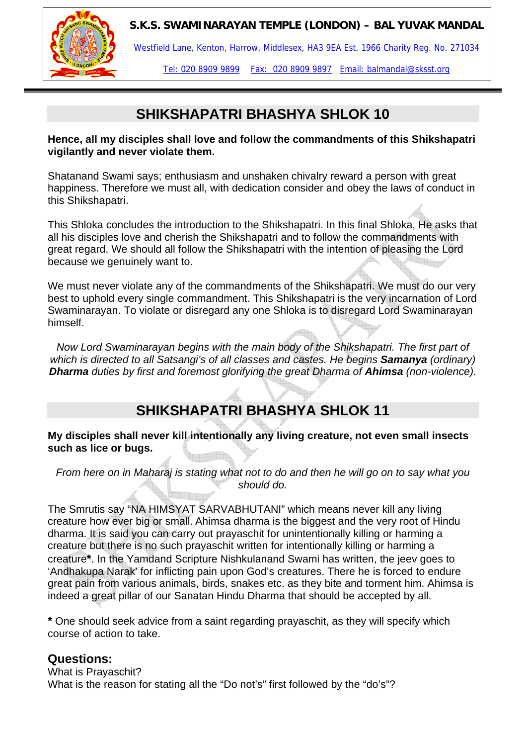



Westfield Lane, Kenton, Harrow, Middlesex, HA3 9EA Est. 1966 Charity Reg. No. 271034

Tel: 020 8909 9899 Fax: 020 8909 9897 Email: balmandal@sksst.org

## **SHIKSHAPATRI BHASHYA SHLOK 10**

**Hence, all my disciples shall love and follow the commandments of this Shikshapatri vigilantly and never violate them.** 

Shatanand Swami says; enthusiasm and unshaken chivalry reward a person with great happiness. Therefore we must all, with dedication consider and obey the laws of conduct in this Shikshapatri.

This Shloka concludes the introduction to the Shikshapatri. In this final Shloka, He asks that all his disciples love and cherish the Shikshapatri and to follow the commandments with great regard. We should all follow the Shikshapatri with the intention of pleasing the Lord because we genuinely want to.

We must never violate any of the commandments of the Shikshapatri. We must do our very best to uphold every single commandment. This Shikshapatri is the very incarnation of Lord Swaminarayan. To violate or disregard any one Shloka is to disregard Lord Swaminarayan himself.

*Now Lord Swaminarayan begins with the main body of the Shikshapatri. The first part of which is directed to all Satsangi's of all classes and castes. He begins Samanya (ordinary) Dharma duties by first and foremost glorifying the great Dharma of Ahimsa (non-violence).* 

## **SHIKSHAPATRI BHASHYA SHLOK 11**

#### **My disciples shall never kill intentionally any living creature, not even small insects such as lice or bugs.**

*From here on in Maharaj is stating what not to do and then he will go on to say what you should do.* 

The Smrutis say "NA HIMSYAT SARVABHUTANI" which means never kill any living creature how ever big or small. Ahimsa dharma is the biggest and the very root of Hindu dharma. It is said you can carry out prayaschit for unintentionally killing or harming a creature but there is no such prayaschit written for intentionally killing or harming a creature**\***. In the Yamdand Scripture Nishkulanand Swami has written, the jeev goes to 'Andhakupa Narak' for inflicting pain upon God's creatures. There he is forced to endure great pain from various animals, birds, snakes etc. as they bite and torment him. Ahimsa is indeed a great pillar of our Sanatan Hindu Dharma that should be accepted by all.

**\*** One should seek advice from a saint regarding prayaschit, as they will specify which course of action to take.

## **Questions:**

What is Prayaschit? What is the reason for stating all the "Do not's" first followed by the "do's"?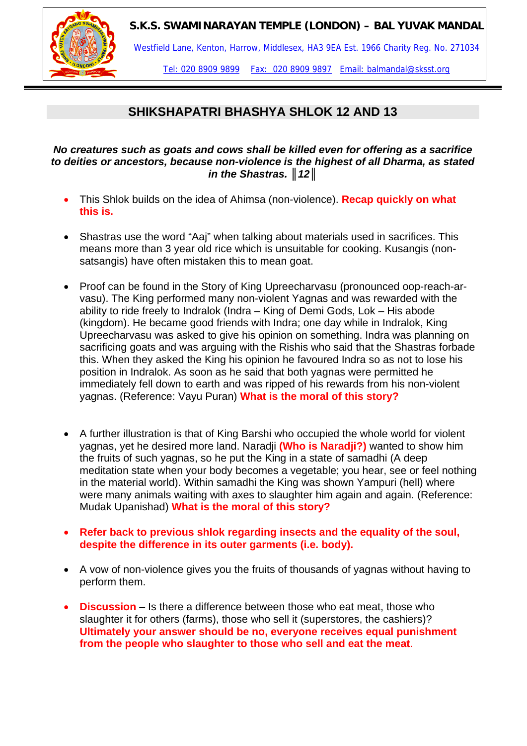

Westfield Lane, Kenton, Harrow, Middlesex, HA3 9EA Est. 1966 Charity Reg. No. 271034

Tel: 020 8909 9899 Fax: 020 8909 9897 Email: balmandal@sksst.org

## **SHIKSHAPATRI BHASHYA SHLOK 12 AND 13**

#### *No creatures such as goats and cows shall be killed even for offering as a sacrifice to deities or ancestors, because non-violence is the highest of all Dharma, as stated in the Shastras. ║12║*

- This Shlok builds on the idea of Ahimsa (non-violence). **Recap quickly on what this is.**
- Shastras use the word "Aaj" when talking about materials used in sacrifices. This means more than 3 year old rice which is unsuitable for cooking. Kusangis (nonsatsangis) have often mistaken this to mean goat.
- Proof can be found in the Story of King Upreecharvasu (pronounced oop-reach-arvasu). The King performed many non-violent Yagnas and was rewarded with the ability to ride freely to Indralok (Indra – King of Demi Gods, Lok – His abode (kingdom). He became good friends with Indra; one day while in Indralok, King Upreecharvasu was asked to give his opinion on something. Indra was planning on sacrificing goats and was arguing with the Rishis who said that the Shastras forbade this. When they asked the King his opinion he favoured Indra so as not to lose his position in Indralok. As soon as he said that both yagnas were permitted he immediately fell down to earth and was ripped of his rewards from his non-violent yagnas. (Reference: Vayu Puran) **What is the moral of this story?**
- A further illustration is that of King Barshi who occupied the whole world for violent yagnas, yet he desired more land. Naradji **(Who is Naradji?)** wanted to show him the fruits of such yagnas, so he put the King in a state of samadhi (A deep meditation state when your body becomes a vegetable; you hear, see or feel nothing in the material world). Within samadhi the King was shown Yampuri (hell) where were many animals waiting with axes to slaughter him again and again. (Reference: Mudak Upanishad) **What is the moral of this story?**
- **Refer back to previous shlok regarding insects and the equality of the soul, despite the difference in its outer garments (i.e. body).**
- A vow of non-violence gives you the fruits of thousands of yagnas without having to perform them.
- **Discussion** Is there a difference between those who eat meat, those who slaughter it for others (farms), those who sell it (superstores, the cashiers)? **Ultimately your answer should be no, everyone receives equal punishment from the people who slaughter to those who sell and eat the meat**.